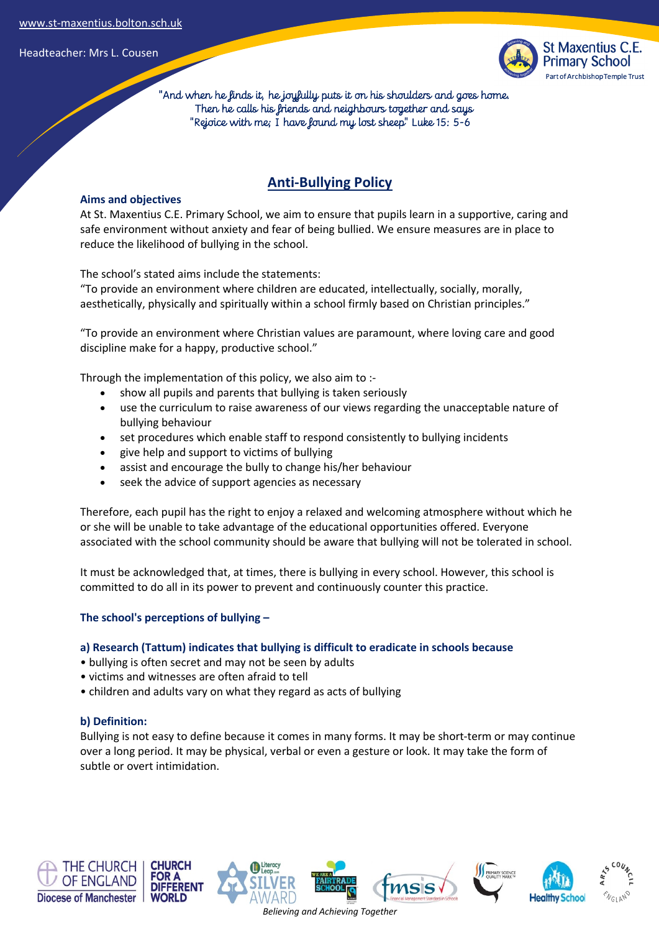

 "And when he finds it, he joyfully puts it on his shoulders and goes home. Then he calls his friends and neighbours together and says "Rejoice with me; I have found my lost sheep" Luke 15: 5-6

# **Anti-Bullying Policy**

### **Aims and objectives**

At St. Maxentius C.E. Primary School, we aim to ensure that pupils learn in a supportive, caring and safe environment without anxiety and fear of being bullied. We ensure measures are in place to reduce the likelihood of bullying in the school.

The school's stated aims include the statements:

"To provide an environment where children are educated, intellectually, socially, morally, aesthetically, physically and spiritually within a school firmly based on Christian principles."

"To provide an environment where Christian values are paramount, where loving care and good discipline make for a happy, productive school."

Through the implementation of this policy, we also aim to :-

- show all pupils and parents that bullying is taken seriously
- use the curriculum to raise awareness of our views regarding the unacceptable nature of bullying behaviour
- set procedures which enable staff to respond consistently to bullying incidents
- give help and support to victims of bullying
- assist and encourage the bully to change his/her behaviour
- seek the advice of support agencies as necessary

Therefore, each pupil has the right to enjoy a relaxed and welcoming atmosphere without which he or she will be unable to take advantage of the educational opportunities offered. Everyone associated with the school community should be aware that bullying will not be tolerated in school.

It must be acknowledged that, at times, there is bullying in every school. However, this school is committed to do all in its power to prevent and continuously counter this practice.

### **The school's perceptions of bullying –**

### **a) Research (Tattum) indicates that bullying is difficult to eradicate in schools because**

- bullying is often secret and may not be seen by adults
- victims and witnesses are often afraid to tell
- children and adults vary on what they regard as acts of bullying

### **b) Definition:**

Bullying is not easy to define because it comes in many forms. It may be short-term or may continue over a long period. It may be physical, verbal or even a gesture or look. It may take the form of subtle or overt intimidation.











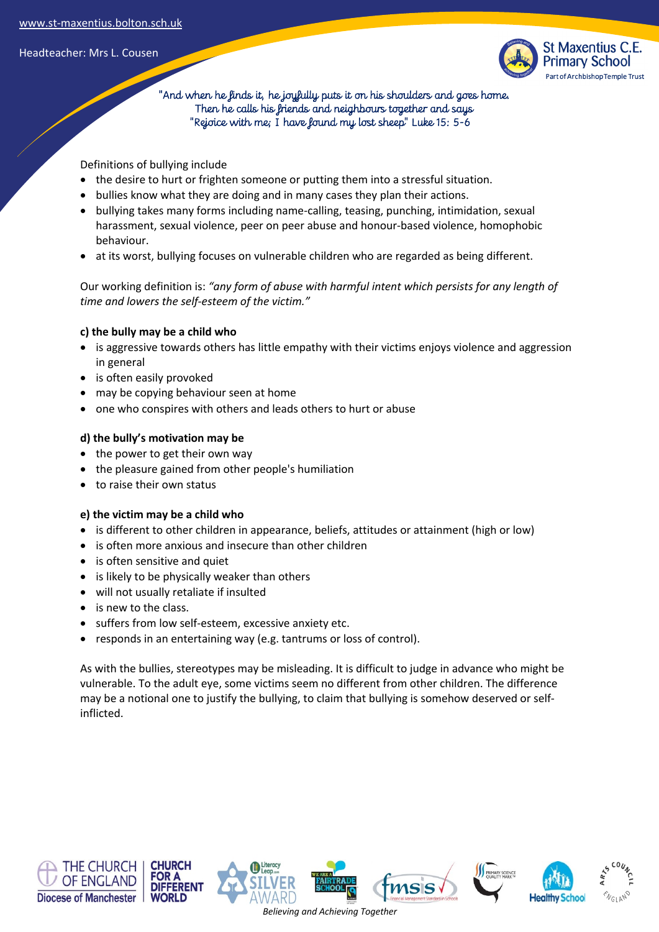

 "And when he finds it, he joyfully puts it on his shoulders and goes home. Then he calls his friends and neighbours together and says "Rejoice with me; I have found my lost sheep" Luke 15: 5-6

Definitions of bullying include

- the desire to hurt or frighten someone or putting them into a stressful situation.
- bullies know what they are doing and in many cases they plan their actions.
- bullying takes many forms including name-calling, teasing, punching, intimidation, sexual harassment, sexual violence, peer on peer abuse and honour-based violence, homophobic behaviour.
- at its worst, bullying focuses on vulnerable children who are regarded as being different.

Our working definition is: *"any form of abuse with harmful intent which persists for any length of time and lowers the self-esteem of the victim."*

### **c) the bully may be a child who**

- is aggressive towards others has little empathy with their victims enjoys violence and aggression in general
- is often easily provoked
- may be copying behaviour seen at home
- one who conspires with others and leads others to hurt or abuse

### **d) the bully's motivation may be**

- the power to get their own way
- the pleasure gained from other people's humiliation
- to raise their own status

### **e) the victim may be a child who**

- is different to other children in appearance, beliefs, attitudes or attainment (high or low)
- is often more anxious and insecure than other children
- is often sensitive and quiet
- is likely to be physically weaker than others
- will not usually retaliate if insulted
- is new to the class.
- suffers from low self-esteem, excessive anxiety etc.
- responds in an entertaining way (e.g. tantrums or loss of control).

As with the bullies, stereotypes may be misleading. It is difficult to judge in advance who might be vulnerable. To the adult eye, some victims seem no different from other children. The difference may be a notional one to justify the bullying, to claim that bullying is somehow deserved or selfinflicted.













*Believing and Achieving Together*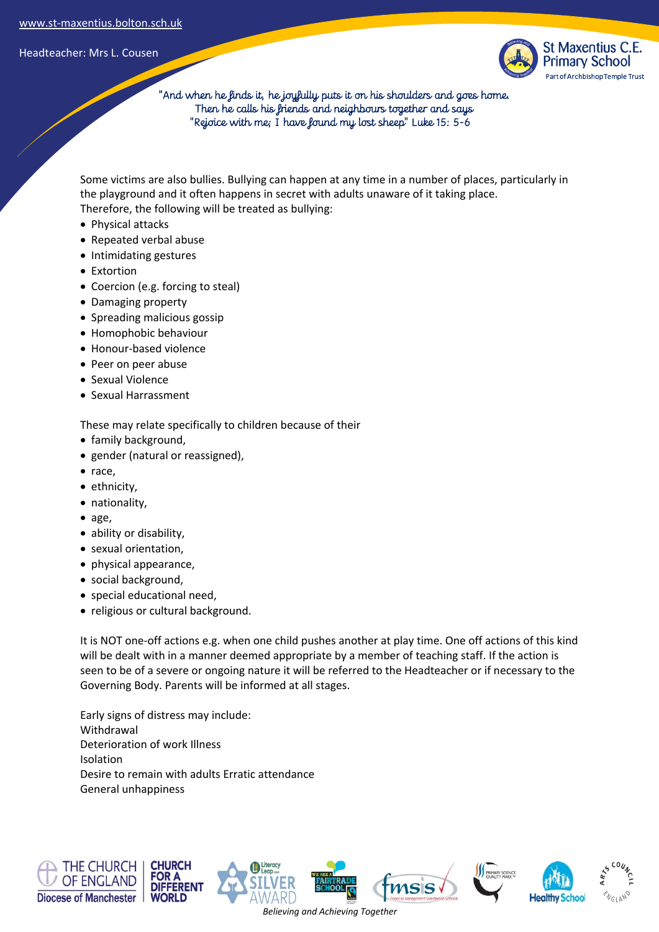

 "And when he finds it, he joyfully puts it on his shoulders and goes home. Then he calls his friends and neighbours together and says "Rejoice with me; I have found my lost sheep" Luke 15: 5-6

Some victims are also bullies. Bullying can happen at any time in a number of places, particularly in the playground and it often happens in secret with adults unaware of it taking place. Therefore, the following will be treated as bullying:

- Physical attacks
- Repeated verbal abuse
- Intimidating gestures
- Extortion
- Coercion (e.g. forcing to steal)
- Damaging property
- Spreading malicious gossip
- Homophobic behaviour
- Honour-based violence
- Peer on peer abuse
- Sexual Violence
- Sexual Harrassment

These may relate specifically to children because of their

- family background,
- gender (natural or reassigned),
- race,
- ethnicity,
- nationality,
- age,
- ability or disability,
- sexual orientation,
- physical appearance,
- social background,
- special educational need,
- religious or cultural background.

It is NOT one-off actions e.g. when one child pushes another at play time. One off actions of this kind will be dealt with in a manner deemed appropriate by a member of teaching staff. If the action is seen to be of a severe or ongoing nature it will be referred to the Headteacher or if necessary to the Governing Body. Parents will be informed at all stages.

Early signs of distress may include: Withdrawal Deterioration of work Illness Isolation Desire to remain with adults Erratic attendance General unhappiness

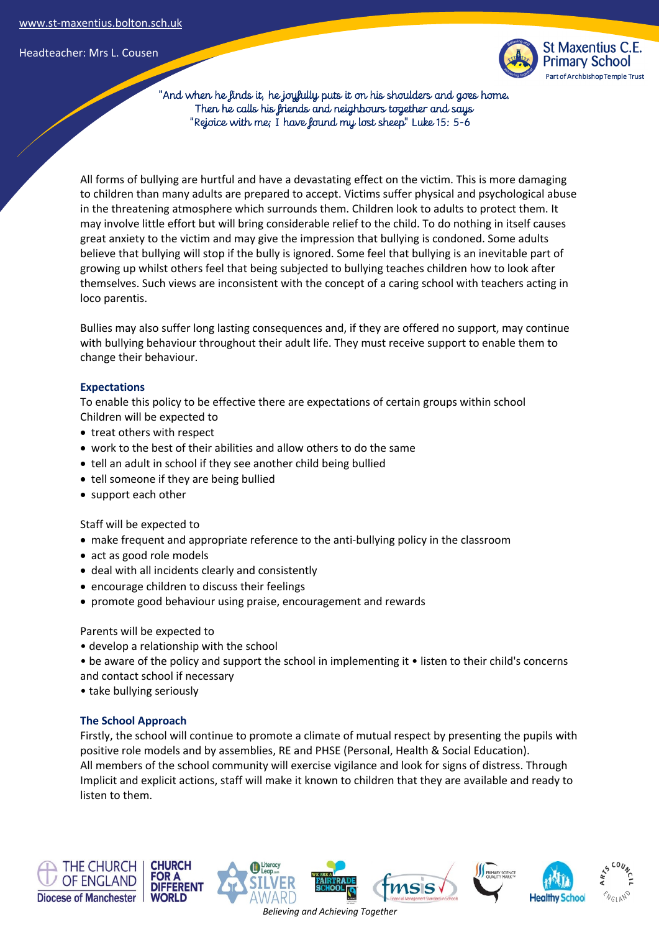

 "And when he finds it, he joyfully puts it on his shoulders and goes home. Then he calls his friends and neighbours together and says "Rejoice with me; I have found my lost sheep" Luke 15: 5-6

All forms of bullying are hurtful and have a devastating effect on the victim. This is more damaging to children than many adults are prepared to accept. Victims suffer physical and psychological abuse in the threatening atmosphere which surrounds them. Children look to adults to protect them. It may involve little effort but will bring considerable relief to the child. To do nothing in itself causes great anxiety to the victim and may give the impression that bullying is condoned. Some adults believe that bullying will stop if the bully is ignored. Some feel that bullying is an inevitable part of growing up whilst others feel that being subjected to bullying teaches children how to look after themselves. Such views are inconsistent with the concept of a caring school with teachers acting in loco parentis.

Bullies may also suffer long lasting consequences and, if they are offered no support, may continue with bullying behaviour throughout their adult life. They must receive support to enable them to change their behaviour.

### **Expectations**

To enable this policy to be effective there are expectations of certain groups within school Children will be expected to

- treat others with respect
- work to the best of their abilities and allow others to do the same
- tell an adult in school if they see another child being bullied
- tell someone if they are being bullied
- support each other

Staff will be expected to

- make frequent and appropriate reference to the anti-bullying policy in the classroom
- act as good role models
- deal with all incidents clearly and consistently
- encourage children to discuss their feelings
- promote good behaviour using praise, encouragement and rewards

#### Parents will be expected to

- develop a relationship with the school
- be aware of the policy and support the school in implementing it listen to their child's concerns
- and contact school if necessary
- take bullying seriously

### **The School Approach**

Firstly, the school will continue to promote a climate of mutual respect by presenting the pupils with positive role models and by assemblies, RE and PHSE (Personal, Health & Social Education). All members of the school community will exercise vigilance and look for signs of distress. Through Implicit and explicit actions, staff will make it known to children that they are available and ready to listen to them.













*Believing and Achieving Together*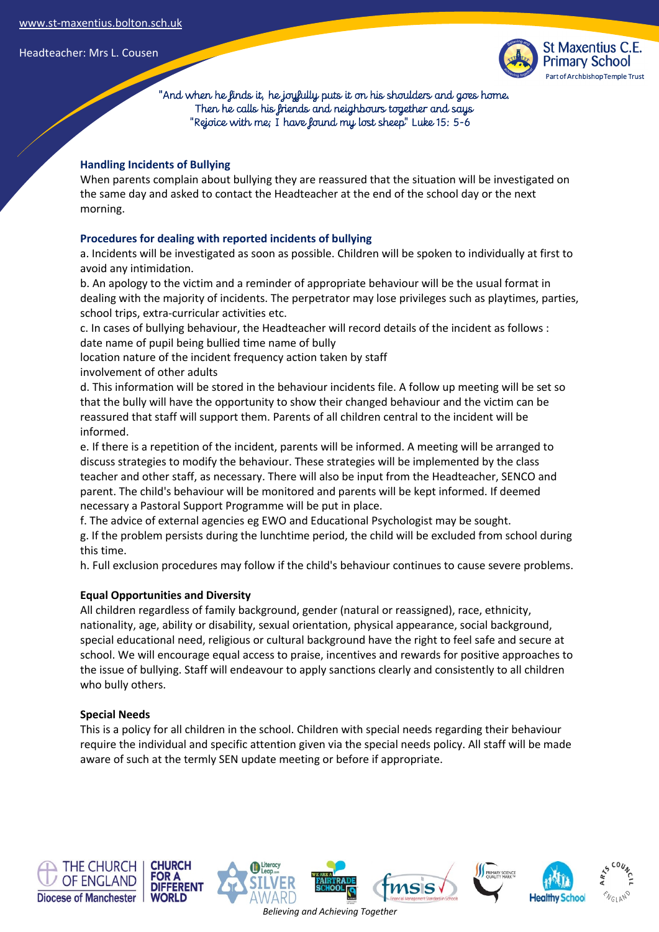

 "And when he finds it, he joyfully puts it on his shoulders and goes home. Then he calls his friends and neighbours together and says "Rejoice with me; I have found my lost sheep" Luke 15: 5-6

# **Handling Incidents of Bullying**

When parents complain about bullying they are reassured that the situation will be investigated on the same day and asked to contact the Headteacher at the end of the school day or the next morning.

# **Procedures for dealing with reported incidents of bullying**

a. Incidents will be investigated as soon as possible. Children will be spoken to individually at first to avoid any intimidation.

b. An apology to the victim and a reminder of appropriate behaviour will be the usual format in dealing with the majority of incidents. The perpetrator may lose privileges such as playtimes, parties, school trips, extra-curricular activities etc.

c. In cases of bullying behaviour, the Headteacher will record details of the incident as follows : date name of pupil being bullied time name of bully

location nature of the incident frequency action taken by staff

involvement of other adults

d. This information will be stored in the behaviour incidents file. A follow up meeting will be set so that the bully will have the opportunity to show their changed behaviour and the victim can be reassured that staff will support them. Parents of all children central to the incident will be informed.

e. If there is a repetition of the incident, parents will be informed. A meeting will be arranged to discuss strategies to modify the behaviour. These strategies will be implemented by the class teacher and other staff, as necessary. There will also be input from the Headteacher, SENCO and parent. The child's behaviour will be monitored and parents will be kept informed. If deemed necessary a Pastoral Support Programme will be put in place.

f. The advice of external agencies eg EWO and Educational Psychologist may be sought.

g. If the problem persists during the lunchtime period, the child will be excluded from school during this time.

h. Full exclusion procedures may follow if the child's behaviour continues to cause severe problems.

# **Equal Opportunities and Diversity**

All children regardless of family background, gender (natural or reassigned), race, ethnicity, nationality, age, ability or disability, sexual orientation, physical appearance, social background, special educational need, religious or cultural background have the right to feel safe and secure at school. We will encourage equal access to praise, incentives and rewards for positive approaches to the issue of bullying. Staff will endeavour to apply sanctions clearly and consistently to all children who bully others.

### **Special Needs**

This is a policy for all children in the school. Children with special needs regarding their behaviour require the individual and specific attention given via the special needs policy. All staff will be made aware of such at the termly SEN update meeting or before if appropriate.